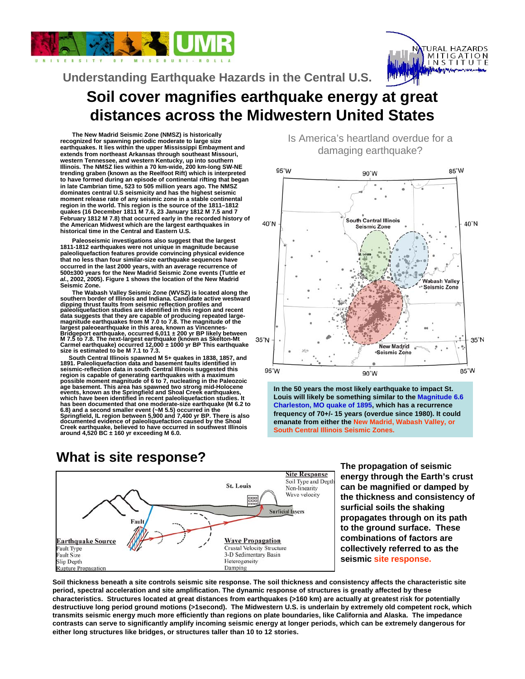



# **Soil cover magnifies earthquake energy at great distances across the Midwestern United States Understanding Earthquake Hazards in the Central U.S.**

**The New Madrid Seismic Zone (NMSZ) is historically recognized for spawning periodic moderate to large size earthquakes. It lies within the upper Mississippi Embayment and extends from northeast Arkansas through southeast Missouri, western Tennessee, and western Kentucky, up into southern Illinois. The NMSZ lies within a 70 km-wide, 200 km-long SW-NE trending graben (known as the Reelfoot Rift) which is interpreted to have formed during an episode of continental rifting that began in late Cambrian time, 523 to 505 million years ago. The NMSZ dominates central U.S seismicity and has the highest seismic moment release rate of any seismic zone in a stable continental region in the world. This region is the source of the 1811–1812 quakes (16 December 1811 M 7.6, 23 January 1812 M 7.5 and 7 February 1812 M 7.8) that occurred early in the recorded history of the American Midwest which are the largest earthquakes in historical time in the Central and Eastern U.S.**

**Paleoseismic investigations also suggest that the largest 1811-1812 earthquakes were not unique in magnitude because paleoliquefaction features provide convincing physical evidence that no less than four similar-size earthquake sequences have occurred in the last 2000 years, with an average recurrence of 500±300 years for the New Madrid Seismic Zone events (Tuttle** *et al.***, 2002, 2005). Figure 1 shows the location of the New Madrid Seismic Zone.**

**The Wabash Valley Seismic Zone (WVSZ) is located along the southern border of Illinois and Indiana. Candidate active westward dipping thrust faults from seismic reflection profiles and paleoliquefaction studies are identified in this region and recent data suggests that they are capable of producing repeated large-magnitude earthquakes from M 7.0 to 7.8. The magnitude of the largest paleoearthquake in this area, known as Vincennes-Bridgeport earthquake, occurred 6,011 ± 200 yr BP likely between M 7.5 to 7.8. The next-largest earthquake (known as Skelton-Mt Carmel earthquake) occurred 12,000 ± 1000 yr BP This earthquake size is estimated to be M 7.1 to 7.3.** 

**South Central Illinois spawned M 5+ quakes in 1838, 1857, and 1891. Paleoliquefaction data and basement faults identified in seismic-reflection data in south Central Illinois suggested this**  region is capable of generating earthquakes with a maximum<br>possible moment magnitude of 6 to 7, nucleating in the Paleozoic<br>age basement. This area has spawned two strong mid-Holocene<br>events, known as the Springfield and S **which have been identified in recent paleoliquefaction studies. It has been documented that one moderate-size earthquake (M 6.2 to**  6.8) and a second smaller event (~M 5.5) occurred in the<br>Springfield, IL region between 5,900 and 7,400 yr BP. There is also<br>documented evidence of paleoliquefaction caused by the Shoal **Creek earthquake, believed to have occurred in southwest Illinois around 4,520 BC ± 160 yr exceeding M 6.0.**



**energy through the Earth's crust can be magnified or damped by the thickness and consistency of surficial soils the shaking propagates through on its path to the ground surface. These combinations of factors are collectively referred to as the seismic site response.** 

**Soil thickness beneath a site controls seismic site response. The soil thickness and consistency affects the characteristic site period, spectral acceleration and site amplification. The dynamic response of structures is greatly affected by these characteristics. Structures located at great distances from earthquakes (>160 km) are actually at greatest risk for potentially destructiuve long period ground motions (>1second). The Midwestern U.S. is underlain by extremely old competent rock, which transmits seismic energy much more efficiently than regions on plate boundaries, like California and Alaska. The impedance contrasts can serve to significantly amplify incoming seismic energy at longer periods, which can be extremely dangerous for either long structures like bridges, or structures taller than 10 to 12 stories.** 

Is America's heartland overdue for a damaging earthquake?



**In the 50 years the most likely earthquake to impact St. Louis will likely be something similar to the Magnitude 6.6 Charleston, MO quake of 1895, which has a recurrence frequency of 70+/- 15 years (overdue since 1980). It could emanate from either the New Madrid, Wabash Valley, or South Central Illinois Seismic Zones..**